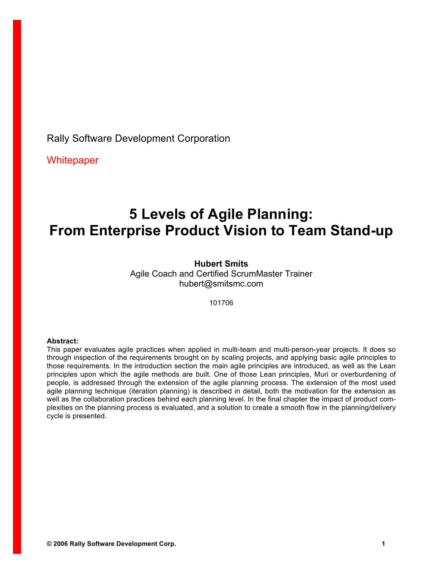Rally Software Development Corporation

**Whitepaper** 

# **5 Levels of Agile Planning: From Enterprise Product Vision to Team Stand-up**

**Hubert Smits** Agile Coach and Certified ScrumMaster Trainer hubert@smitsmc.com

101706

#### **Abstract:**

This paper evaluates agile practices when applied in multi-team and multi-person-year projects. It does so through inspection of the requirements brought on by scaling projects, and applying basic agile principles to those requirements. In the introduction section the main agile principles are introduced, as well as the Lean principles upon which the agile methods are built. One of those Lean principles, Muri or overburdening of people, is addressed through the extension of the agile planning process. The extension of the most used agile planning technique (iteration planning) is described in detail, both the motivation for the extension as well as the collaboration practices behind each planning level. In the final chapter the impact of product complexities on the planning process is evaluated, and a solution to create a smooth flow in the planning/delivery cycle is presented.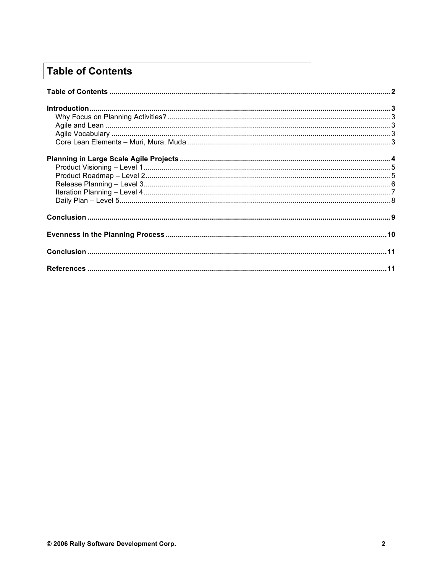# **Table of Contents**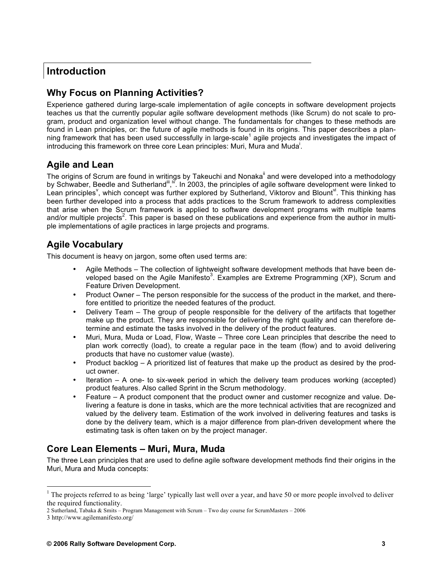## **Introduction**

### **Why Focus on Planning Activities?**

Experience gathered during large-scale implementation of agile concepts in software development projects teaches us that the currently popular agile software development methods (like Scrum) do not scale to program, product and organization level without change. The fundamentals for changes to these methods are found in Lean principles, or: the future of agile methods is found in its origins. This paper describes a planning framework that has been used successfully in large-scale<sup>1</sup> agile projects and investigates the impact of introducing this framework on three core Lean principles: Muri, Mura and Muda<sup>i</sup>.

### **Agile and Lean**

The origins of Scrum are found in writings by Takeuchi and Nonaka<sup>ii</sup> and were developed into a methodology by Schwaber, Beedle and Sutherland", M. In 2003, the principles of agile software development were linked to Lean principles<sup>v</sup>, which concept was further explored by Sutherland, Viktorov and Blount<sup>vi</sup>. This thinking has been further developed into a process that adds practices to the Scrum framework to address complexities that arise when the Scrum framework is applied to software development programs with multiple teams and/or multiple projects<sup>2</sup>. This paper is based on these publications and experience from the author in multiple implementations of agile practices in large projects and programs.

### **Agile Vocabulary**

This document is heavy on jargon, some often used terms are:

- Agile Methods The collection of lightweight software development methods that have been developed based on the Agile Manifesto<sup>3</sup>. Examples are Extreme Programming (XP), Scrum and Feature Driven Development.
- Product Owner The person responsible for the success of the product in the market, and therefore entitled to prioritize the needed features of the product.
- Delivery Team The group of people responsible for the delivery of the artifacts that together make up the product. They are responsible for delivering the right quality and can therefore determine and estimate the tasks involved in the delivery of the product features.
- Muri, Mura, Muda or Load, Flow, Waste Three core Lean principles that describe the need to plan work correctly (load), to create a regular pace in the team (flow) and to avoid delivering products that have no customer value (waste).
- Product backlog A prioritized list of features that make up the product as desired by the product owner.
- Iteration A one- to six-week period in which the delivery team produces working (accepted) product features. Also called Sprint in the Scrum methodology.
- Feature A product component that the product owner and customer recognize and value. Delivering a feature is done in tasks, which are the more technical activities that are recognized and valued by the delivery team. Estimation of the work involved in delivering features and tasks is done by the delivery team, which is a major difference from plan-driven development where the estimating task is often taken on by the project manager.

### **Core Lean Elements – Muri, Mura, Muda**

The three Lean principles that are used to define agile software development methods find their origins in the Muri, Mura and Muda concepts:

2 Sutherland, Tabaka & Smits – Program Management with Scrum – Two day course for ScrumMasters – 2006

 $1$ <sup>1</sup> The projects referred to as being 'large' typically last well over a year, and have 50 or more people involved to deliver the required functionality.

<sup>3</sup> http://www.agilemanifesto.org/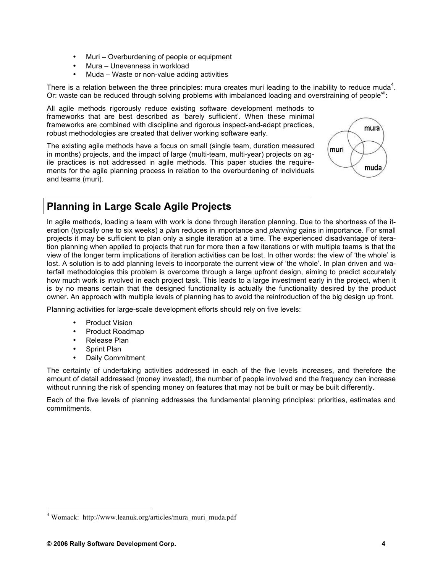- Muri Overburdening of people or equipment
- Mura Unevenness in workload
- Muda Waste or non-value adding activities

There is a relation between the three principles: mura creates muri leading to the inability to reduce muda<sup>4</sup>. Or: waste can be reduced through solving problems with imbalanced loading and overstraining of people<sup>vii</sup>:

All agile methods rigorously reduce existing software development methods to frameworks that are best described as 'barely sufficient'. When these minimal frameworks are combined with discipline and rigorous inspect-and-adapt practices, robust methodologies are created that deliver working software early.

The existing agile methods have a focus on small (single team, duration measured in months) projects, and the impact of large (multi-team, multi-year) projects on agile practices is not addressed in agile methods. This paper studies the requirements for the agile planning process in relation to the overburdening of individuals and teams (muri).



# **Planning in Large Scale Agile Projects**

In agile methods, loading a team with work is done through iteration planning. Due to the shortness of the iteration (typically one to six weeks) a *plan* reduces in importance and *planning* gains in importance. For small projects it may be sufficient to plan only a single iteration at a time. The experienced disadvantage of iteration planning when applied to projects that run for more then a few iterations or with multiple teams is that the view of the longer term implications of iteration activities can be lost. In other words: the view of 'the whole' is lost. A solution is to add planning levels to incorporate the current view of 'the whole'. In plan driven and waterfall methodologies this problem is overcome through a large upfront design, aiming to predict accurately how much work is involved in each project task. This leads to a large investment early in the project, when it is by no means certain that the designed functionality is actually the functionality desired by the product owner. An approach with multiple levels of planning has to avoid the reintroduction of the big design up front.

Planning activities for large-scale development efforts should rely on five levels:

- Product Vision
- Product Roadmap
- Release Plan
- Sprint Plan
- Daily Commitment

The certainty of undertaking activities addressed in each of the five levels increases, and therefore the amount of detail addressed (money invested), the number of people involved and the frequency can increase without running the risk of spending money on features that may not be built or may be built differently.

Each of the five levels of planning addresses the fundamental planning principles: priorities, estimates and commitments.

 <sup>4</sup> Womack: http://www.leanuk.org/articles/mura\_muri\_muda.pdf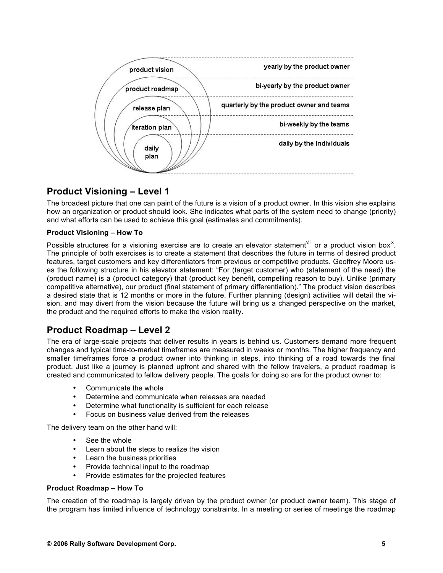

### **Product Visioning – Level 1**

The broadest picture that one can paint of the future is a vision of a product owner. In this vision she explains how an organization or product should look. She indicates what parts of the system need to change (priority) and what efforts can be used to achieve this goal (estimates and commitments).

#### **Product Visioning – How To**

Possible structures for a visioning exercise are to create an elevator statement<sup>vill</sup> or a product vision box<sup>ix</sup>. The principle of both exercises is to create a statement that describes the future in terms of desired product features, target customers and key differentiators from previous or competitive products. Geoffrey Moore uses the following structure in his elevator statement: "For (target customer) who (statement of the need) the (product name) is a (product category) that (product key benefit, compelling reason to buy). Unlike (primary competitive alternative), our product (final statement of primary differentiation)." The product vision describes a desired state that is 12 months or more in the future. Further planning (design) activities will detail the vision, and may divert from the vision because the future will bring us a changed perspective on the market, the product and the required efforts to make the vision reality.

### **Product Roadmap – Level 2**

The era of large-scale projects that deliver results in years is behind us. Customers demand more frequent changes and typical time-to-market timeframes are measured in weeks or months. The higher frequency and smaller timeframes force a product owner into thinking in steps, into thinking of a road towards the final product. Just like a journey is planned upfront and shared with the fellow travelers, a product roadmap is created and communicated to fellow delivery people. The goals for doing so are for the product owner to:

- Communicate the whole
- Determine and communicate when releases are needed
- Determine what functionality is sufficient for each release
- Focus on business value derived from the releases

The delivery team on the other hand will:

- See the whole
- Learn about the steps to realize the vision
- Learn the business priorities
- Provide technical input to the roadmap
- Provide estimates for the projected features

#### **Product Roadmap – How To**

The creation of the roadmap is largely driven by the product owner (or product owner team). This stage of the program has limited influence of technology constraints. In a meeting or series of meetings the roadmap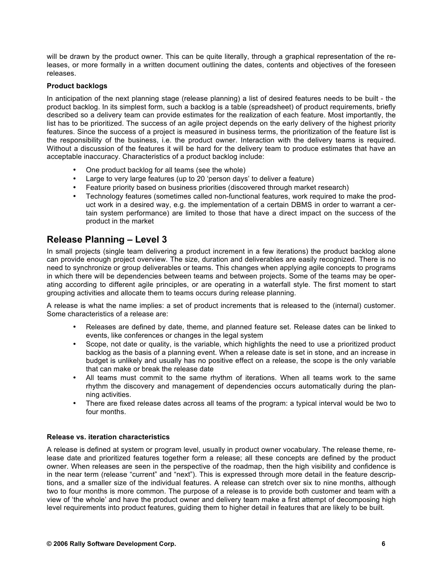will be drawn by the product owner. This can be quite literally, through a graphical representation of the releases, or more formally in a written document outlining the dates, contents and objectives of the foreseen releases.

#### **Product backlogs**

In anticipation of the next planning stage (release planning) a list of desired features needs to be built - the product backlog. In its simplest form, such a backlog is a table (spreadsheet) of product requirements, briefly described so a delivery team can provide estimates for the realization of each feature. Most importantly, the list has to be prioritized. The success of an agile project depends on the early delivery of the highest priority features. Since the success of a project is measured in business terms, the prioritization of the feature list is the responsibility of the business, i.e. the product owner. Interaction with the delivery teams is required. Without a discussion of the features it will be hard for the delivery team to produce estimates that have an acceptable inaccuracy. Characteristics of a product backlog include:

- One product backlog for all teams (see the whole)
- Large to very large features (up to 20 'person days' to deliver a feature)
- Feature priority based on business priorities (discovered through market research)
- Technology features (sometimes called non-functional features, work required to make the product work in a desired way, e.g. the implementation of a certain DBMS in order to warrant a certain system performance) are limited to those that have a direct impact on the success of the product in the market

### **Release Planning – Level 3**

In small projects (single team delivering a product increment in a few iterations) the product backlog alone can provide enough project overview. The size, duration and deliverables are easily recognized. There is no need to synchronize or group deliverables or teams. This changes when applying agile concepts to programs in which there will be dependencies between teams and between projects. Some of the teams may be operating according to different agile principles, or are operating in a waterfall style. The first moment to start grouping activities and allocate them to teams occurs during release planning.

A release is what the name implies: a set of product increments that is released to the (internal) customer. Some characteristics of a release are:

- Releases are defined by date, theme, and planned feature set. Release dates can be linked to events, like conferences or changes in the legal system
- Scope, not date or quality, is the variable, which highlights the need to use a prioritized product backlog as the basis of a planning event. When a release date is set in stone, and an increase in budget is unlikely and usually has no positive effect on a release, the scope is the only variable that can make or break the release date
- All teams must commit to the same rhythm of iterations. When all teams work to the same rhythm the discovery and management of dependencies occurs automatically during the planning activities.
- There are fixed release dates across all teams of the program: a typical interval would be two to four months.

#### **Release vs. iteration characteristics**

A release is defined at system or program level, usually in product owner vocabulary. The release theme, release date and prioritized features together form a release; all these concepts are defined by the product owner. When releases are seen in the perspective of the roadmap, then the high visibility and confidence is in the near term (release "current" and "next"). This is expressed through more detail in the feature descriptions, and a smaller size of the individual features. A release can stretch over six to nine months, although two to four months is more common. The purpose of a release is to provide both customer and team with a view of 'the whole' and have the product owner and delivery team make a first attempt of decomposing high level requirements into product features, guiding them to higher detail in features that are likely to be built.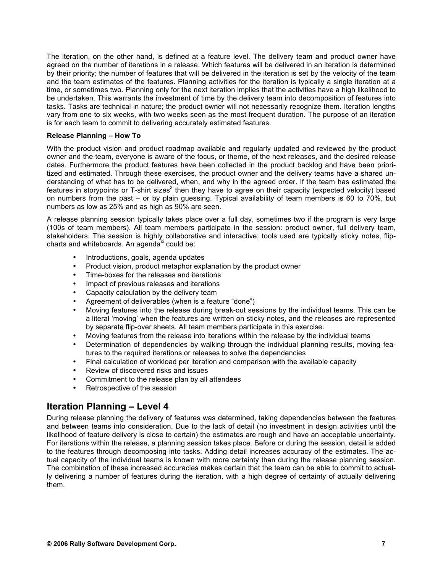The iteration, on the other hand, is defined at a feature level. The delivery team and product owner have agreed on the number of iterations in a release. Which features will be delivered in an iteration is determined by their priority; the number of features that will be delivered in the iteration is set by the velocity of the team and the team estimates of the features. Planning activities for the iteration is typically a single iteration at a time, or sometimes two. Planning only for the next iteration implies that the activities have a high likelihood to be undertaken. This warrants the investment of time by the delivery team into decomposition of features into tasks. Tasks are technical in nature; the product owner will not necessarily recognize them. Iteration lengths vary from one to six weeks, with two weeks seen as the most frequent duration. The purpose of an iteration is for each team to commit to delivering accurately estimated features.

#### **Release Planning – How To**

With the product vision and product roadmap available and regularly updated and reviewed by the product owner and the team, everyone is aware of the focus, or theme, of the next releases, and the desired release dates. Furthermore the product features have been collected in the product backlog and have been prioritized and estimated. Through these exercises, the product owner and the delivery teams have a shared understanding of what has to be delivered, when, and why in the agreed order. If the team has estimated the features in storypoints or T-shirt sizes<sup>x</sup> then they have to agree on their capacity (expected velocity) based on numbers from the past – or by plain guessing. Typical availability of team members is 60 to 70%, but numbers as low as 25% and as high as 90% are seen.

A release planning session typically takes place over a full day, sometimes two if the program is very large (100s of team members). All team members participate in the session: product owner, full delivery team, stakeholders. The session is highly collaborative and interactive; tools used are typically sticky notes, flipcharts and whiteboards. An agenda<sup>xi</sup> could be:

- Introductions, goals, agenda updates
- Product vision, product metaphor explanation by the product owner
- Time-boxes for the releases and iterations
- Impact of previous releases and iterations
- Capacity calculation by the delivery team
- Agreement of deliverables (when is a feature "done")
- Moving features into the release during break-out sessions by the individual teams. This can be a literal 'moving' when the features are written on sticky notes, and the releases are represented by separate flip-over sheets. All team members participate in this exercise.
- Moving features from the release into iterations within the release by the individual teams
- Determination of dependencies by walking through the individual planning results, moving features to the required iterations or releases to solve the dependencies
- Final calculation of workload per iteration and comparison with the available capacity
- Review of discovered risks and issues
- Commitment to the release plan by all attendees
- Retrospective of the session

### **Iteration Planning – Level 4**

During release planning the delivery of features was determined, taking dependencies between the features and between teams into consideration. Due to the lack of detail (no investment in design activities until the likelihood of feature delivery is close to certain) the estimates are rough and have an acceptable uncertainty. For iterations within the release, a planning session takes place. Before or during the session, detail is added to the features through decomposing into tasks. Adding detail increases accuracy of the estimates. The actual capacity of the individual teams is known with more certainty than during the release planning session. The combination of these increased accuracies makes certain that the team can be able to commit to actually delivering a number of features during the iteration, with a high degree of certainty of actually delivering them.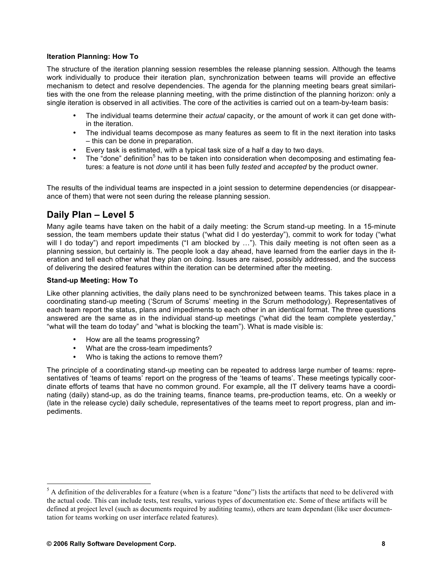#### **Iteration Planning: How To**

The structure of the iteration planning session resembles the release planning session. Although the teams work individually to produce their iteration plan, synchronization between teams will provide an effective mechanism to detect and resolve dependencies. The agenda for the planning meeting bears great similarities with the one from the release planning meeting, with the prime distinction of the planning horizon: only a single iteration is observed in all activities. The core of the activities is carried out on a team-by-team basis:

- The individual teams determine their *actual* capacity, or the amount of work it can get done within the iteration.
- The individual teams decompose as many features as seem to fit in the next iteration into tasks – this can be done in preparation.
- Every task is estimated, with a typical task size of a half a day to two days.
- The "done" definition<sup>5</sup> has to be taken into consideration when decomposing and estimating features: a feature is not *done* until it has been fully *tested* and *accepted* by the product owner.

The results of the individual teams are inspected in a joint session to determine dependencies (or disappearance of them) that were not seen during the release planning session.

### **Daily Plan – Level 5**

Many agile teams have taken on the habit of a daily meeting: the Scrum stand-up meeting. In a 15-minute session, the team members update their status ("what did I do yesterday"), commit to work for today ("what will I do today") and report impediments ("I am blocked by ..."). This daily meeting is not often seen as a planning session, but certainly is. The people look a day ahead, have learned from the earlier days in the iteration and tell each other what they plan on doing. Issues are raised, possibly addressed, and the success of delivering the desired features within the iteration can be determined after the meeting.

#### **Stand-up Meeting: How To**

Like other planning activities, the daily plans need to be synchronized between teams. This takes place in a coordinating stand-up meeting ('Scrum of Scrums' meeting in the Scrum methodology). Representatives of each team report the status, plans and impediments to each other in an identical format. The three questions answered are the same as in the individual stand-up meetings ("what did the team complete yesterday," "what will the team do today" and "what is blocking the team"). What is made visible is:

- How are all the teams progressing?
- What are the cross-team impediments?
- Who is taking the actions to remove them?

The principle of a coordinating stand-up meeting can be repeated to address large number of teams: representatives of 'teams of teams' report on the progress of the 'teams of teams'. These meetings typically coordinate efforts of teams that have no common ground. For example, all the IT delivery teams have a coordinating (daily) stand-up, as do the training teams, finance teams, pre-production teams, etc. On a weekly or (late in the release cycle) daily schedule, representatives of the teams meet to report progress, plan and impediments.

 $5$  A definition of the deliverables for a feature (when is a feature "done") lists the artifacts that need to be delivered with the actual code. This can include tests, test results, various types of documentation etc. Some of these artifacts will be defined at project level (such as documents required by auditing teams), others are team dependant (like user documentation for teams working on user interface related features).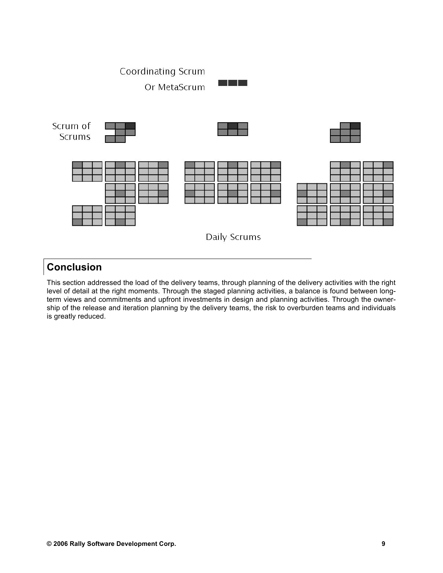

### **Conclusion**

This section addressed the load of the delivery teams, through planning of the delivery activities with the right level of detail at the right moments. Through the staged planning activities, a balance is found between longterm views and commitments and upfront investments in design and planning activities. Through the ownership of the release and iteration planning by the delivery teams, the risk to overburden teams and individuals is greatly reduced.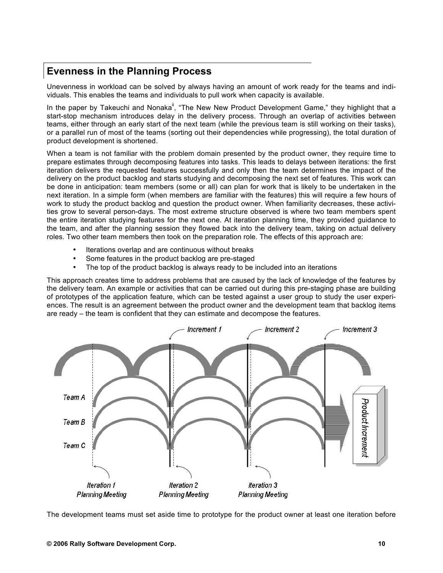### **Evenness in the Planning Process**

Unevenness in workload can be solved by always having an amount of work ready for the teams and individuals. This enables the teams and individuals to pull work when capacity is available.

In the paper by Takeuchi and Nonaka<sup>ii</sup>, "The New New Product Development Game," they highlight that a start-stop mechanism introduces delay in the delivery process. Through an overlap of activities between teams, either through an early start of the next team (while the previous team is still working on their tasks), or a parallel run of most of the teams (sorting out their dependencies while progressing), the total duration of product development is shortened.

When a team is not familiar with the problem domain presented by the product owner, they require time to prepare estimates through decomposing features into tasks. This leads to delays between iterations: the first iteration delivers the requested features successfully and only then the team determines the impact of the delivery on the product backlog and starts studying and decomposing the next set of features. This work can be done in anticipation: team members (some or all) can plan for work that is likely to be undertaken in the next iteration. In a simple form (when members are familiar with the features) this will require a few hours of work to study the product backlog and question the product owner. When familiarity decreases, these activities grow to several person-days. The most extreme structure observed is where two team members spent the entire iteration studying features for the next one. At iteration planning time, they provided guidance to the team, and after the planning session they flowed back into the delivery team, taking on actual delivery roles. Two other team members then took on the preparation role. The effects of this approach are:

- Iterations overlap and are continuous without breaks
- Some features in the product backlog are pre-staged
- The top of the product backlog is always ready to be included into an iterations

This approach creates time to address problems that are caused by the lack of knowledge of the features by the delivery team. An example or activities that can be carried out during this pre-staging phase are building of prototypes of the application feature, which can be tested against a user group to study the user experiences. The result is an agreement between the product owner and the development team that backlog items are ready – the team is confident that they can estimate and decompose the features.



The development teams must set aside time to prototype for the product owner at least one iteration before